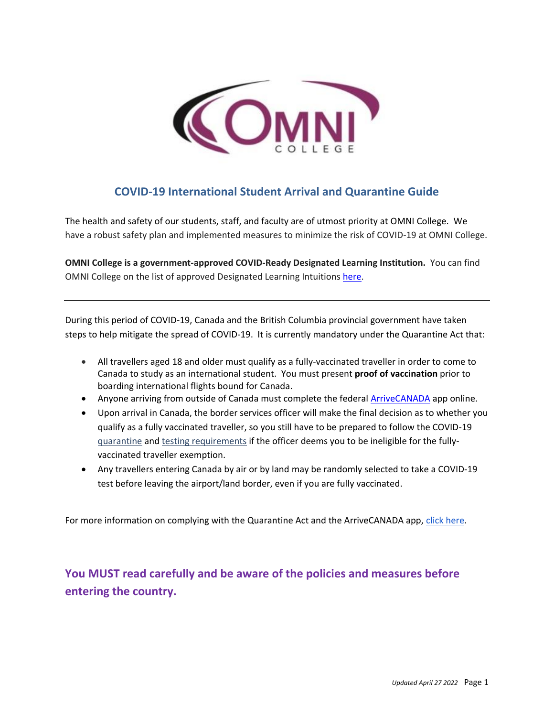

## **COVID-19 International Student Arrival and Quarantine Guide**

The health and safety of our students, staff, and faculty are of utmost priority at OMNI College. We have a robust safety plan and implemented measures to minimize the risk of COVID-19 at OMNI College.

**OMNI College is a government-approved COVID-Ready Designated Learning Institution.** You can find OMNI College on the list of approved Designated Learning Intuitions [here.](https://www.canada.ca/en/immigration-refugees-citizenship/services/coronavirus-covid19/students/approved-dli.html)

During this period of COVID-19, Canada and the British Columbia provincial government have taken steps to help mitigate the spread of COVID-19. It is currently mandatory under the Quarantine Act that:

- All travellers aged 18 and older must qualify as a fully-vaccinated traveller in order to come to Canada to study as an international student. You must present **proof of vaccination** prior to boarding international flights bound for Canada.
- Anyone arriving from outside of Canada must complete the federal **ArriveCANADA** app online.
- Upon arrival in Canada, the border services officer will make the final decision as to whether you qualify as a fully vaccinated traveller, so you still have to be prepared to follow the COVID-19 [quarantine](https://travel.gc.ca/travel-covid/travel-restrictions/isolation) and [testing requirements](https://travel.gc.ca/travel-covid/travel-restrictions/flying-canada-checklist/covid-19-testing-travellers-coming-into-canada) if the officer deems you to be ineligible for the fullyvaccinated traveller exemption.
- Any travellers entering Canada by air or by land may be randomly selected to take a COVID-19 test before leaving the airport/land border, even if you are fully vaccinated.

For more information on complying with the Quarantine Act and the ArriveCANADA app, [click here.](https://www.canada.ca/en/public-health/services/diseases/2019-novel-coronavirus-infection/latest-travel-health-advice.html)

**You MUST read carefully and be aware of the policies and measures before entering the country.**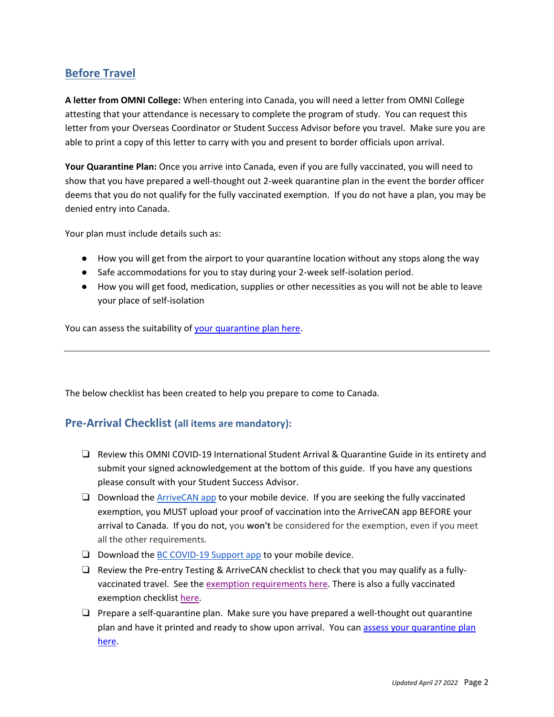## **Before Travel**

**A letter from OMNI College:** When entering into Canada, you will need a letter from OMNI College attesting that your attendance is necessary to complete the program of study. You can request this letter from your Overseas Coordinator or Student Success Advisor before you travel. Make sure you are able to print a copy of this letter to carry with you and present to border officials upon arrival.

**Your Quarantine Plan:** Once you arrive into Canada, even if you are fully vaccinated, you will need to show that you have prepared a well-thought out 2-week quarantine plan in the event the border officer deems that you do not qualify for the fully vaccinated exemption. If you do not have a plan, you may be denied entry into Canada.

Your plan must include details such as:

- How you will get from the airport to your quarantine location without any stops along the way
- Safe accommodations for you to stay during your 2-week self-isolation period.
- How you will get food, medication, supplies or other necessities as you will not be able to leave your place of self-isolation

You can assess the suitability of [your quarantine plan here.](https://travel.gc.ca/travel-covid/travel-restrictions/isolation/quarantine-start)

The below checklist has been created to help you prepare to come to Canada.

### **Pre-Arrival Checklist (all items are mandatory):**

- ❏ Review this OMNI COVID-19 International Student Arrival & Quarantine Guide in its entirety and submit your signed acknowledgement at the bottom of this guide. If you have any questions please consult with your Student Success Advisor.
- ❏ Download th[e ArriveCAN app](https://www.canada.ca/en/public-health/services/diseases/coronavirus-disease-covid-19/arrivecan.html) to your mobile device. If you are seeking the fully vaccinated exemption, you MUST upload your proof of vaccination into the ArriveCAN app BEFORE your arrival to Canada. If you do not, you **won't** be considered for the exemption, even if you meet all the other requirements.
- ❏ Download th[e BC COVID-19 Support app](https://www.thrive.health/bc-covid19-app) to your mobile device.
- ❏ Review the Pre-entry Testing & ArriveCAN checklist to check that you may qualify as a fullyvaccinated travel. See the [exemption requirements here.](https://travel.gc.ca/travel-covid/travel-restrictions/covid-vaccinated-travellers-entering-canada#entry-vaccinated) There is also a fully vaccinated exemption checklis[t here.](https://travel.gc.ca/travel-covid/travel-restrictions/entering-canada-checklist#fully-vaccinated)
- ❏ Prepare a self-quarantine plan. Make sure you have prepared a well-thought out quarantine plan and have it printed and ready to show upon arrival. You can assess your quarantine plan [here.](https://travel.gc.ca/travel-covid/travel-restrictions/isolation/quarantine-start)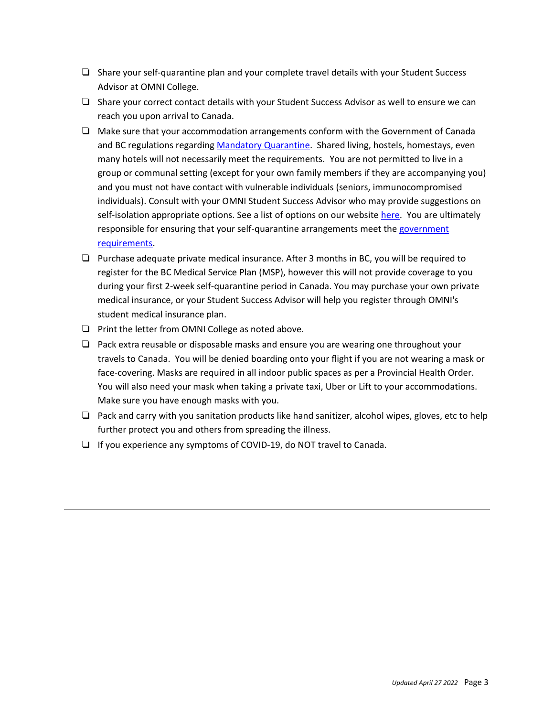- ❏ Share your self-quarantine plan and your complete travel details with your Student Success Advisor at OMNI College.
- ❏ Share your correct contact details with your Student Success Advisor as well to ensure we can reach you upon arrival to Canada.
- ❏ Make sure that your accommodation arrangements conform with the Government of Canada and BC regulations regardin[g Mandatory Quarantine.](https://www.canada.ca/en/public-health/services/diseases/2019-novel-coronavirus-infection/latest-travel-health-advice.html#a1.5) Shared living, hostels, homestays, even many hotels will not necessarily meet the requirements. You are not permitted to live in a group or communal setting (except for your own family members if they are accompanying you) and you must not have contact with vulnerable individuals (seniors, immunocompromised individuals). Consult with your OMNI Student Success Advisor who may provide suggestions on self-isolation appropriate options. See a list of options on our website [here.](https://www.omnicollege.com/student-resources/international-students/accommodation/) You are ultimately responsible for ensuring that your self-quarantine arrangements meet th[e government](https://www.canada.ca/en/public-health/services/diseases/2019-novel-coronavirus-infection/latest-travel-health-advice.html#a1.5)  [requirements.](https://www.canada.ca/en/public-health/services/diseases/2019-novel-coronavirus-infection/latest-travel-health-advice.html#a1.5)
- ❏ Purchase adequate private medical insurance. After 3 months in BC, you will be required to register for the BC Medical Service Plan (MSP), however this will not provide coverage to you during your first 2-week self-quarantine period in Canada. You may purchase your own private medical insurance, or your Student Success Advisor will help you register through OMNI's student medical insurance plan.
- ❏ Print the letter from OMNI College as noted above.
- ❏ Pack extra reusable or disposable masks and ensure you are wearing one throughout your travels to Canada. You will be denied boarding onto your flight if you are not wearing a mask or face-covering. Masks are required in all indoor public spaces as per a Provincial Health Order. You will also need your mask when taking a private taxi, Uber or Lift to your accommodations. Make sure you have enough masks with you.
- ❏ Pack and carry with you sanitation products like hand sanitizer, alcohol wipes, gloves, etc to help further protect you and others from spreading the illness.
- ❏ If you experience any symptoms of COVID-19, do NOT travel to Canada.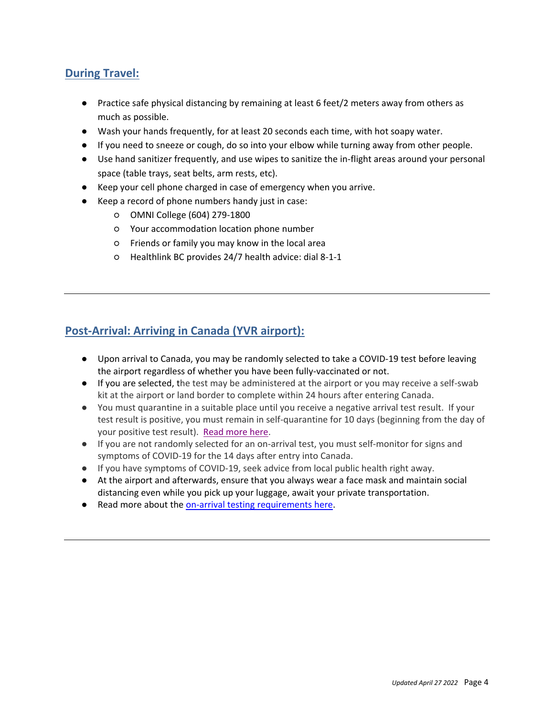## **During Travel:**

- Practice safe physical distancing by remaining at least 6 feet/2 meters away from others as much as possible.
- Wash your hands frequently, for at least 20 seconds each time, with hot soapy water.
- If you need to sneeze or cough, do so into your elbow while turning away from other people.
- Use hand sanitizer frequently, and use wipes to sanitize the in-flight areas around your personal space (table trays, seat belts, arm rests, etc).
- Keep your cell phone charged in case of emergency when you arrive.
- Keep a record of phone numbers handy just in case:
	- OMNI College (604) 279-1800
	- Your accommodation location phone number
	- Friends or family you may know in the local area
	- Healthlink BC provides 24/7 health advice: dial 8-1-1

## **Post-Arrival: Arriving in Canada (YVR airport):**

- Upon arrival to Canada, you may be randomly selected to take a COVID-19 test before leaving the airport regardless of whether you have been fully-vaccinated or not.
- If you are selected, the test may be administered at the airport or you may receive a self-swab kit at the airport or land border to complete within 24 hours after entering Canada.
- You must quarantine in a suitable place until you receive a negative arrival test result. If your test result is positive, you must remain in self-quarantine for 10 days (beginning from the day of your positive test result). [Read more here.](https://travel.gc.ca/travel-covid/travel-restrictions/isolation#isolation)
- If you are not randomly selected for an on-arrival test, you must self-monitor for signs and symptoms of COVID-19 for the 14 days after entry into Canada.
- If you have symptoms of COVID-19, seek advice from local public health right away.
- At the airport and afterwards, ensure that you always wear a face mask and maintain social distancing even while you pick up your luggage, await your private transportation.
- Read more about th[e on-arrival testing requirements here.](https://travel.gc.ca/travel-covid/travel-restrictions/covid-vaccinated-travellers-entering-canada#arrival)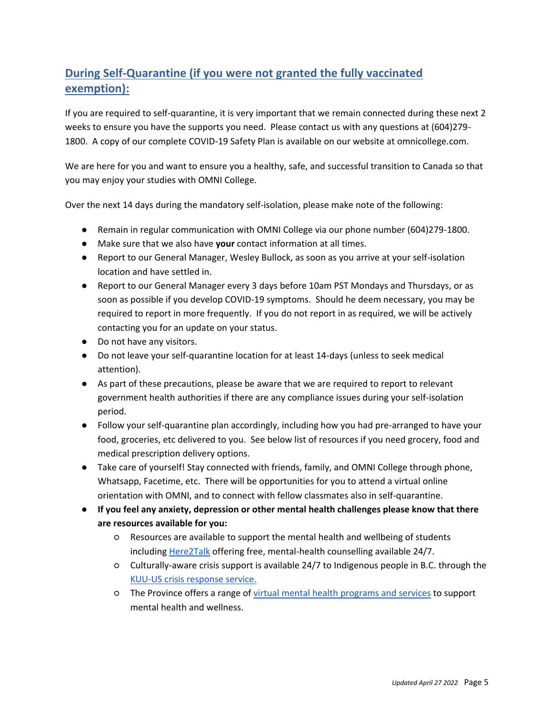# **During Self-Quarantine (if you were not granted the fully vaccinated exemption):**

If you are required to self-quarantine, it is very important that we remain connected during these next 2 weeks to ensure you have the supports you need. Please contact us with any questions at (604)279- 1800. A copy of our complete COVID-19 Safety Plan is available on our website at omnicollege.com.

We are here for you and want to ensure you a healthy, safe, and successful transition to Canada so that you may enjoy your studies with OMNI College.

Over the next 14 days during the mandatory self-isolation, please make note of the following:

- Remain in regular communication with OMNI College via our phone number (604)279-1800.
- Make sure that we also have **your** contact information at all times.
- Report to our General Manager, Wesley Bullock, as soon as you arrive at your self-isolation location and have settled in.
- Report to our General Manager every 3 days before 10am PST Mondays and Thursdays, or as soon as possible if you develop COVID-19 symptoms. Should he deem necessary, you may be required to report in more frequently. If you do not report in as required, we will be actively contacting you for an update on your status.
- Do not have any visitors.
- Do not leave your self-quarantine location for at least 14-days (unless to seek medical attention).
- As part of these precautions, please be aware that we are required to report to relevant government health authorities if there are any compliance issues during your self-isolation period.
- Follow your self-quarantine plan accordingly, including how you had pre-arranged to have your food, groceries, etc delivered to you. See below list of resources if you need grocery, food and medical prescription delivery options.
- Take care of yourself! Stay connected with friends, family, and OMNI College through phone, Whatsapp, Facetime, etc. There will be opportunities for you to attend a virtual online orientation with OMNI, and to connect with fellow classmates also in self-quarantine.
- **If you feel any anxiety, depression or other mental health challenges please know that there are resources available for you:**
	- Resources are available to support the mental health and wellbeing of students includin[g](https://here2talk.ca/home) [Here2Talk](https://here2talk.ca/home) offering free, mental-health counselling available 24/7.
	- Culturally-aware crisis support is available 24/7 to Indigenous people in B.C. through th[e](https://www.kuu-uscrisisline.ca/?bcgovtm=20200319_GCPE_AM_COVID_4_NOTIFICATION_BCGOV_BCGOV_EN_BC__NOTIFICATION) [KUU-US crisis response service.](https://www.kuu-uscrisisline.com/)
	- The Province offers a range of [virtual mental health programs and services](https://www2.gov.bc.ca/gov/content/health/managing-your-health/mental-health-substance-use/virtual-supports-covid-19?bcgovtm=20200319_GCPE_AM_COVID_4_NOTIFICATION_BCGOV_BCGOV_EN_BC__NOTIFICATION) to support mental health and wellness.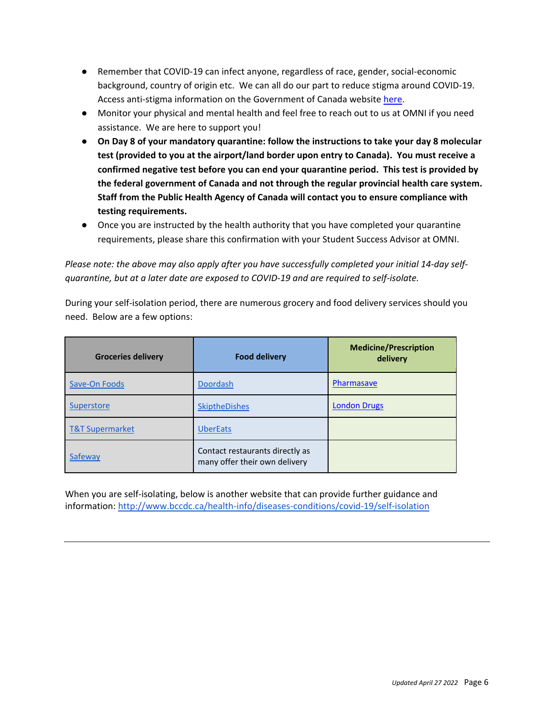- Remember that COVID-19 can infect anyone, regardless of race, gender, social-economic background, country of origin etc. We can all do our part to reduce stigma around COVID-19. Access anti-stigma information on the Government of Canada website [here.](https://www.canada.ca/en/public-health/services/publications/diseases-conditions/covid-19-testing-reducing-stigma.html)
- Monitor your physical and mental health and feel free to reach out to us at OMNI if you need assistance. We are here to support you!
- **On Day 8 of your mandatory quarantine: follow the instructions to take your day 8 molecular test (provided to you at the airport/land border upon entry to Canada). You must receive a confirmed negative test before you can end your quarantine period. This test is provided by the federal government of Canada and not through the regular provincial health care system. Staff from the Public Health Agency of Canada will contact you to ensure compliance with testing requirements.**
- Once you are instructed by the health authority that you have completed your quarantine requirements, please share this confirmation with your Student Success Advisor at OMNI.

*Please note: the above may also apply after you have successfully completed your initial 14-day selfquarantine, but at a later date are exposed to COVID-19 and are required to self-isolate.*

During your self-isolation period, there are numerous grocery and food delivery services should you need. Below are a few options:

| <b>Groceries delivery</b>  | <b>Food delivery</b>                                             | <b>Medicine/Prescription</b><br>delivery |
|----------------------------|------------------------------------------------------------------|------------------------------------------|
| Save-On Foods              | <b>Doordash</b>                                                  | Pharmasave                               |
| Superstore                 | <b>SkiptheDishes</b>                                             | <b>London Drugs</b>                      |
| <b>T&amp;T Supermarket</b> | <b>UberEats</b>                                                  |                                          |
| Safeway                    | Contact restaurants directly as<br>many offer their own delivery |                                          |

When you are self-isolating, below is another website that can provide further guidance and information[: http://www.bccdc.ca/health-info/diseases-conditions/covid-19/self-isolation](http://www.bccdc.ca/health-info/diseases-conditions/covid-19/self-isolation)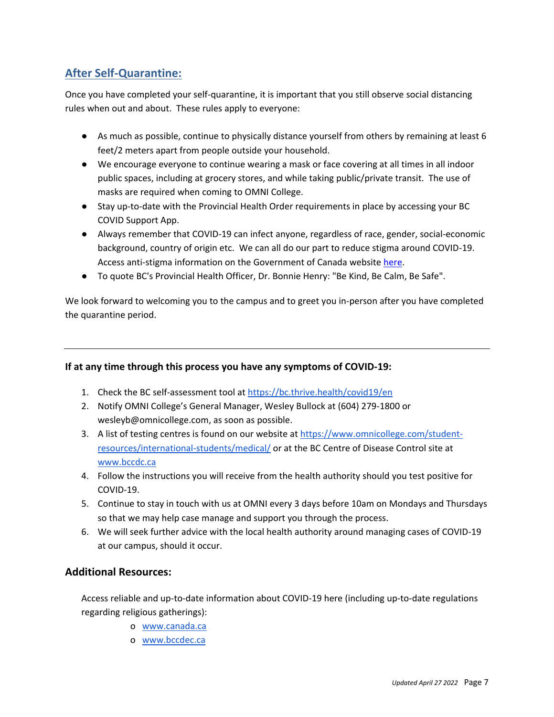## **After Self-Quarantine:**

Once you have completed your self-quarantine, it is important that you still observe social distancing rules when out and about. These rules apply to everyone:

- As much as possible, continue to physically distance yourself from others by remaining at least 6 feet/2 meters apart from people outside your household.
- We encourage everyone to continue wearing a mask or face covering at all times in all indoor public spaces, including at grocery stores, and while taking public/private transit. The use of masks are required when coming to OMNI College.
- Stay up-to-date with the Provincial Health Order requirements in place by accessing your BC COVID Support App.
- Always remember that COVID-19 can infect anyone, regardless of race, gender, social-economic background, country of origin etc. We can all do our part to reduce stigma around COVID-19. Access anti-stigma information on the Government of Canada website [here.](https://www.canada.ca/en/public-health/services/publications/diseases-conditions/covid-19-testing-reducing-stigma.html)
- To quote BC's Provincial Health Officer, Dr. Bonnie Henry: "Be Kind, Be Calm, Be Safe".

We look forward to welcoming you to the campus and to greet you in-person after you have completed the quarantine period.

#### **If at any time through this process you have any symptoms of COVID-19:**

- 1. Check the BC self-assessment tool a[t](https://bc.thrive.health/covid19/en) <https://bc.thrive.health/covid19/en>
- 2. Notify OMNI College's General Manager, Wesley Bullock at (604) 279-1800 or wesleyb@omnicollege.com, as soon as possible.
- 3. A list of testing centres is found on our website a[t](https://www.omnicollege.com/student-resources/international-students/medical/) [https://www.omnicollege.com/student](https://www.omnicollege.com/student-resources/international-students/medical/)[resources/international-students/medical/](https://www.omnicollege.com/student-resources/international-students/medical/) or at the BC Centre of Disease Control site a[t](http://www.bccdc.ca/) [www.bccdc.ca](http://www.bccdc.ca/)
- 4. Follow the instructions you will receive from the health authority should you test positive for COVID-19.
- 5. Continue to stay in touch with us at OMNI every 3 days before 10am on Mondays and Thursdays so that we may help case manage and support you through the process.
- 6. We will seek further advice with the local health authority around managing cases of COVID-19 at our campus, should it occur.

#### **Additional Resources:**

Access reliable and up-to-date information about COVID-19 here (including up-to-date regulations regarding religious gatherings):

- o [www.canada.ca](http://www.canada.ca/)
- o [www.bccdec.ca](http://www.bccdec.ca/)